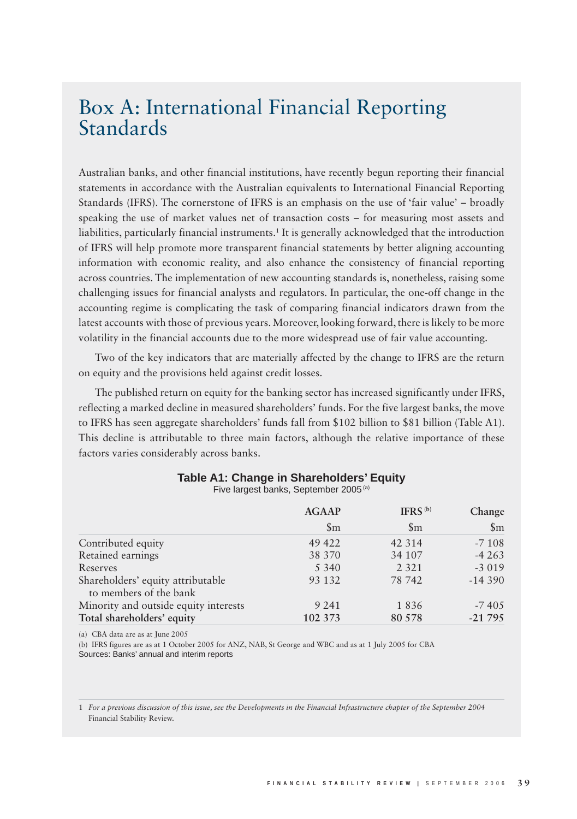## Box A: International Financial Reporting Standards

Australian banks, and other financial institutions, have recently begun reporting their financial statements in accordance with the Australian equivalents to International Financial Reporting Standards (IFRS). The cornerstone of IFRS is an emphasis on the use of 'fair value' – broadly speaking the use of market values net of transaction costs – for measuring most assets and liabilities, particularly financial instruments.<sup>1</sup> It is generally acknowledged that the introduction of IFRS will help promote more transparent financial statements by better aligning accounting information with economic reality, and also enhance the consistency of financial reporting across countries. The implementation of new accounting standards is, nonetheless, raising some challenging issues for financial analysts and regulators. In particular, the one-off change in the accounting regime is complicating the task of comparing financial indicators drawn from the latest accounts with those of previous years. Moreover, looking forward, there is likely to be more volatility in the financial accounts due to the more widespread use of fair value accounting.

Two of the key indicators that are materially affected by the change to IFRS are the return on equity and the provisions held against credit losses.

The published return on equity for the banking sector has increased significantly under IFRS, reflecting a marked decline in measured shareholders' funds. For the five largest banks, the move to IFRS has seen aggregate shareholders' funds fall from \$102 billion to \$81 billion (Table A1). This decline is attributable to three main factors, although the relative importance of these factors varies considerably across banks.

|  |  | Table A1: Change in Shareholders' Equity             |  |
|--|--|------------------------------------------------------|--|
|  |  | $\Gamma$ . $\alpha$ lorgest bonks. Contambor 2005(a) |  |

Five largest banks, September 2005 (a)

|                                                             | <b>AGAAP</b>   | IFRS $(b)$       | Change         |
|-------------------------------------------------------------|----------------|------------------|----------------|
|                                                             | $\mathfrak{m}$ | $\mathbb{S}_{m}$ | $\mathfrak{m}$ |
| Contributed equity                                          | 49 422         | 42 3 14          | $-7108$        |
| Retained earnings                                           | 38 370         | 34 107           | $-4263$        |
| Reserves                                                    | 5 3 4 0        | 2 3 2 1          | $-3019$        |
| Shareholders' equity attributable<br>to members of the bank | 93 132         | 78 742           | $-14390$       |
| Minority and outside equity interests                       | 9 2 4 1        | 1836             | $-7405$        |
| Total shareholders' equity                                  | 102 373        | 80 578           | $-21795$       |

(a) CBA data are as at June 2005

(b) IFRS figures are as at 1 October 2005 for ANZ, NAB, St George and WBC and as at 1 July 2005 for CBA Sources: Banks' annual and interim reports

1 *For a previous discussion of this issue, see the Developments in the Financial Infrastructure chapter of the September 2004*  Financial Stability Review.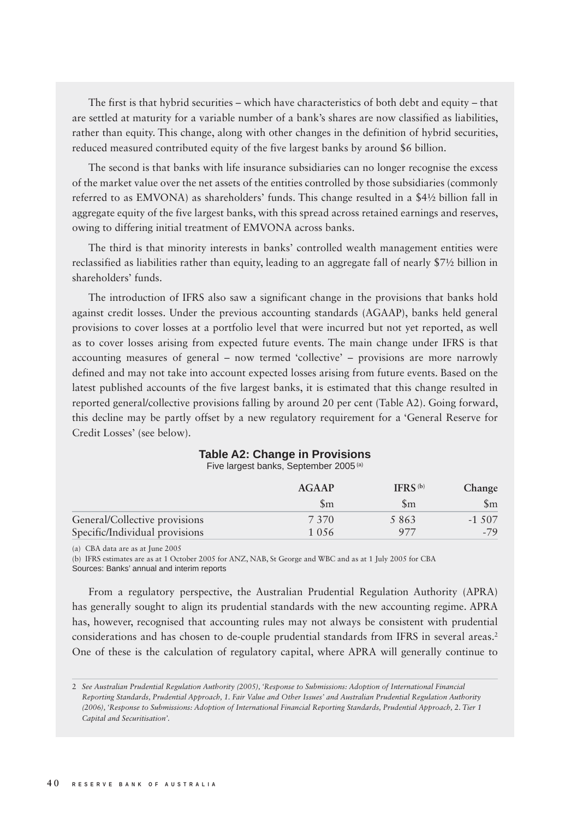The first is that hybrid securities – which have characteristics of both debt and equity – that are settled at maturity for a variable number of a bank's shares are now classified as liabilities, rather than equity. This change, along with other changes in the definition of hybrid securities, reduced measured contributed equity of the five largest banks by around \$6 billion.

The second is that banks with life insurance subsidiaries can no longer recognise the excess of the market value over the net assets of the entities controlled by those subsidiaries (commonly referred to as EMVONA) as shareholders' funds. This change resulted in a \$4½ billion fall in aggregate equity of the five largest banks, with this spread across retained earnings and reserves, owing to differing initial treatment of EMVONA across banks.

The third is that minority interests in banks' controlled wealth management entities were reclassified as liabilities rather than equity, leading to an aggregate fall of nearly \$7½ billion in shareholders' funds.

The introduction of IFRS also saw a significant change in the provisions that banks hold against credit losses. Under the previous accounting standards (AGAAP), banks held general provisions to cover losses at a portfolio level that were incurred but not yet reported, as well as to cover losses arising from expected future events. The main change under IFRS is that accounting measures of general – now termed 'collective' – provisions are more narrowly defined and may not take into account expected losses arising from future events. Based on the latest published accounts of the five largest banks, it is estimated that this change resulted in reported general/collective provisions falling by around 20 per cent (Table A2). Going forward, this decline may be partly offset by a new regulatory requirement for a 'General Reserve for Credit Losses' (see below).

## **Table A2: Change in Provisions**

Five largest banks, September 2005 (a)

|                                | AGAAP          | IFRS <sup>(b)</sup> | Change   |
|--------------------------------|----------------|---------------------|----------|
|                                | $\mathfrak{m}$ | Sm                  | Sm       |
| General/Collective provisions  | 7.370          | 5863                | $-1.507$ |
| Specific/Individual provisions | 1 0.56         | 977                 | $-79$    |

(a) CBA data are as at June 2005

(b) IFRS estimates are as at 1 October 2005 for ANZ, NAB, St George and WBC and as at 1 July 2005 for CBA

Sources: Banks' annual and interim reports

From a regulatory perspective, the Australian Prudential Regulation Authority (APRA) has generally sought to align its prudential standards with the new accounting regime. APRA has, however, recognised that accounting rules may not always be consistent with prudential considerations and has chosen to de-couple prudential standards from IFRS in several areas.2 One of these is the calculation of regulatory capital, where APRA will generally continue to

<sup>2</sup> *See Australian Prudential Regulation Authority (2005), 'Response to Submissions: Adoption of International Financial Reporting Standards, Prudential Approach, 1. Fair Value and Other Issues' and Australian Prudential Regulation Authority (2006), 'Response to Submissions: Adoption of International Financial Reporting Standards, Prudential Approach, 2. Tier 1 Capital and Securitisation'.*